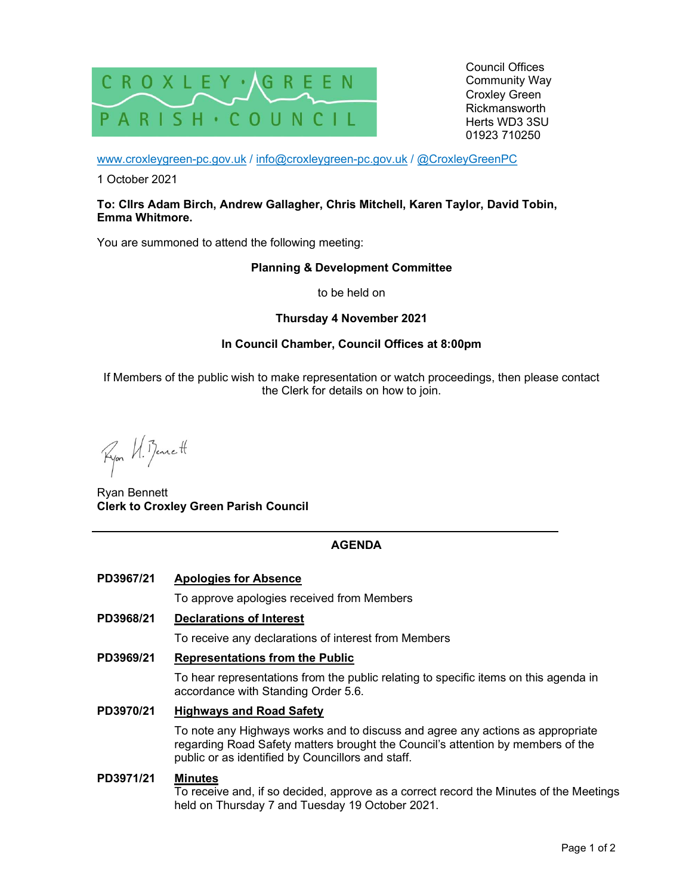

Council Offices Community Way Croxley Green Rickmansworth Herts WD3 3SU 01923 710250

www.croxleygreen-pc.gov.uk / info@croxleygreen-pc.gov.uk / @CroxleyGreenPC

1 October 2021

#### To: Cllrs Adam Birch, Andrew Gallagher, Chris Mitchell, Karen Taylor, David Tobin, Emma Whitmore.

You are summoned to attend the following meeting:

# Planning & Development Committee

to be held on

# Thursday 4 November 2021

# In Council Chamber, Council Offices at 8:00pm

If Members of the public wish to make representation or watch proceedings, then please contact the Clerk for details on how to join.

Ryon U. Benett

Ryan Bennett Clerk to Croxley Green Parish Council

# AGENDA

PD3967/21 Apologies for Absence

To approve apologies received from Members

PD3968/21 Declarations of Interest

To receive any declarations of interest from Members

PD3969/21 Representations from the Public

To hear representations from the public relating to specific items on this agenda in accordance with Standing Order 5.6.

PD3970/21 Highways and Road Safety

To note any Highways works and to discuss and agree any actions as appropriate regarding Road Safety matters brought the Council's attention by members of the public or as identified by Councillors and staff.

#### PD3971/21 Minutes

To receive and, if so decided, approve as a correct record the Minutes of the Meetings held on Thursday 7 and Tuesday 19 October 2021.